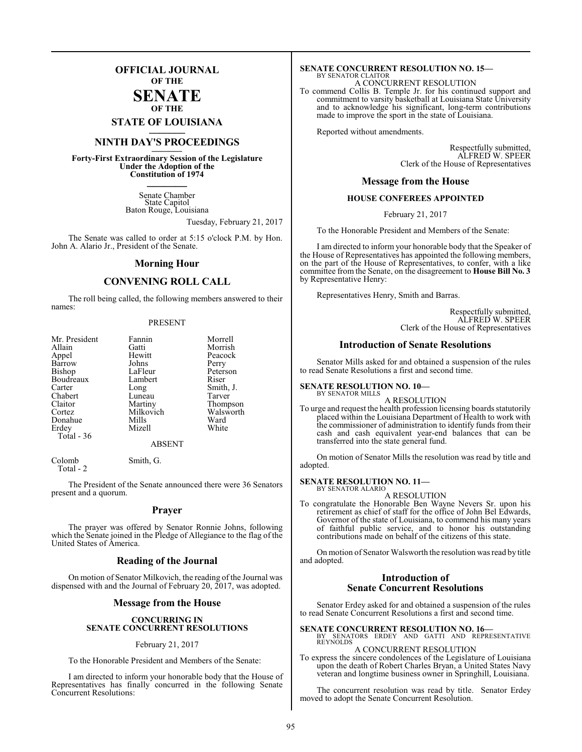# **OFFICIAL JOURNAL OF THE**

# **SENATE OF THE**

**STATE OF LOUISIANA \_\_\_\_\_\_\_**

# **NINTH DAY'S PROCEEDINGS \_\_\_\_\_\_\_**

**Forty-First Extraordinary Session of the Legislature Under the Adoption of the Constitution of 1974 \_\_\_\_\_\_\_**

> Senate Chamber State Capitol Baton Rouge, Louisiana

> > Tuesday, February 21, 2017

The Senate was called to order at 5:15 o'clock P.M. by Hon. John A. Alario Jr., President of the Senate.

## **Morning Hour**

# **CONVENING ROLL CALL**

The roll being called, the following members answered to their names:

#### PRESENT

| Mr. President | Fannin    | Morrell   |
|---------------|-----------|-----------|
| Allain        | Gatti     | Morrish   |
| Appel         | Hewitt    | Peacock   |
| Barrow        | Johns     | Perry     |
| Bishop        | LaFleur   | Peterson  |
| Boudreaux     | Lambert   | Riser     |
| Carter        | Long      | Smith, J. |
| Chabert       | Luneau    | Tarver    |
| Claitor       | Martiny   | Thompson  |
| Cortez        | Milkovich | Walsworth |
| Donahue       | Mills     | Ward      |
| Erdey         | Mizell    | White     |
| Total - 36    |           |           |
|               | ABSENT    |           |

Colomb Smith, G.

Total - 2

The President of the Senate announced there were 36 Senators present and a quorum.

#### **Prayer**

The prayer was offered by Senator Ronnie Johns, following which the Senate joined in the Pledge of Allegiance to the flag of the United States of America.

## **Reading of the Journal**

On motion of Senator Milkovich, the reading of the Journal was dispensed with and the Journal of February 20, 2017, was adopted.

## **Message from the House**

#### **CONCURRING IN SENATE CONCURRENT RESOLUTIONS**

#### February 21, 2017

To the Honorable President and Members of the Senate:

I am directed to inform your honorable body that the House of Representatives has finally concurred in the following Senate Concurrent Resolutions:

#### **SENATE CONCURRENT RESOLUTION NO. 15—** BY SENATOR CLAITOR A CONCURRENT RESOLUTION

To commend Collis B. Temple Jr. for his continued support and commitment to varsity basketball at Louisiana State University and to acknowledge his significant, long-term contributions made to improve the sport in the state of Louisiana.

Reported without amendments.

Respectfully submitted, ALFRED W. SPEER Clerk of the House of Representatives

# **Message from the House**

## **HOUSE CONFEREES APPOINTED**

February 21, 2017

To the Honorable President and Members of the Senate:

I am directed to inform your honorable body that the Speaker of the House of Representatives has appointed the following members, on the part of the House of Representatives, to confer, with a like committee from the Senate, on the disagreement to **House Bill No. 3** by Representative Henry:

Representatives Henry, Smith and Barras.

Respectfully submitted, ALFRED W. SPEER Clerk of the House of Representatives

## **Introduction of Senate Resolutions**

Senator Mills asked for and obtained a suspension of the rules to read Senate Resolutions a first and second time.

#### **SENATE RESOLUTION NO. 10—** BY SENATOR MILLS

A RESOLUTION

To urge and request the health profession licensing boards statutorily placed within the Louisiana Department of Health to work with the commissioner of administration to identify funds from their cash and cash equivalent year-end balances that can be transferred into the state general fund.

On motion of Senator Mills the resolution was read by title and adopted.

#### **SENATE RESOLUTION NO. 11—** BY SENATOR ALARIO

A RESOLUTION

To congratulate the Honorable Ben Wayne Nevers Sr. upon his retirement as chief of staff for the office of John Bel Edwards, Governor of the state of Louisiana, to commend his many years of faithful public service, and to honor his outstanding contributions made on behalf of the citizens of this state.

On motion of Senator Walsworth the resolution was read by title and adopted.

# **Introduction of Senate Concurrent Resolutions**

Senator Erdey asked for and obtained a suspension of the rules to read Senate Concurrent Resolutions a first and second time.

**SENATE CONCURRENT RESOLUTION NO. 16—**<br>BY SENATORS ERDEY AND GATTI AND REPRESENTATIVE<br>REYNOLDS A CONCURRENT RESOLUTION

To express the sincere condolences of the Legislature of Louisiana upon the death of Robert Charles Bryan, a United States Navy veteran and longtime business owner in Springhill, Louisiana.

The concurrent resolution was read by title. Senator Erdey moved to adopt the Senate Concurrent Resolution.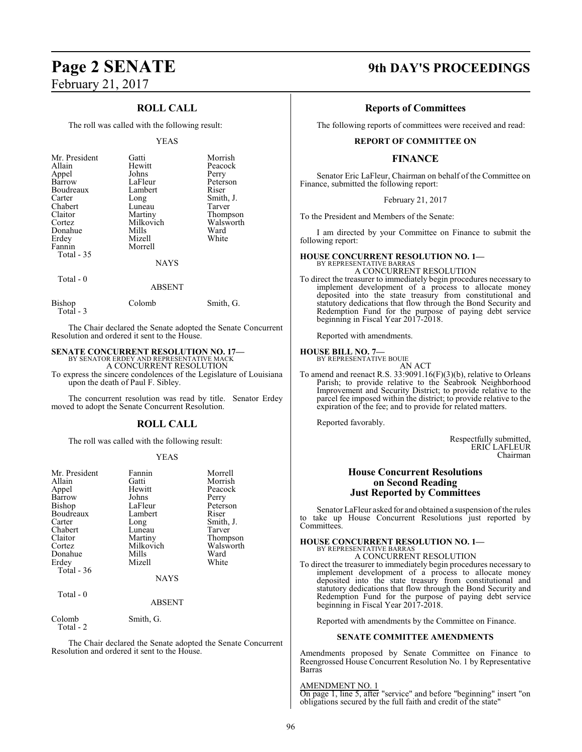# February 21, 2017

# **ROLL CALL**

The roll was called with the following result:

#### YEAS

| Mr. President<br>Allain<br>Appel<br>Barrow<br>Boudreaux<br>Carter<br>Chabert<br>Claitor<br>Cortez<br>Donahue<br>Erdey<br>Fannin<br><b>Total - 35</b> | Gatti<br>Hewitt<br>Johns<br>LaFleur<br>Lambert<br>Long<br>Luneau<br>Martiny<br>Milkovich<br>Mills<br>Mizell<br>Morrell<br><b>NAYS</b> | Morrish<br>Peacock<br>Perry<br>Peterson<br>Riser<br>Smith, J.<br>Tarver<br>Thompson<br>Walsworth<br>Ward<br>White |
|------------------------------------------------------------------------------------------------------------------------------------------------------|---------------------------------------------------------------------------------------------------------------------------------------|-------------------------------------------------------------------------------------------------------------------|
| Total - 0                                                                                                                                            |                                                                                                                                       |                                                                                                                   |

# ABSENT

Bishop Colomb Smith, G. Total - 3

The Chair declared the Senate adopted the Senate Concurrent Resolution and ordered it sent to the House.

# **SENATE CONCURRENT RESOLUTION NO. 17—** BY SENATOR ERDEY AND REPRESENTATIVE MACK

A CONCURRENT RESOLUTION To express the sincere condolences of the Legislature of Louisiana upon the death of Paul F. Sibley.

The concurrent resolution was read by title. Senator Erdey moved to adopt the Senate Concurrent Resolution.

# **ROLL CALL**

The roll was called with the following result:

#### YEAS

| Mr. President<br>Allain<br>Appel<br>Barrow<br>Bishop<br>Boudreaux<br>Carter<br>Chabert<br>Claitor<br>Cortez<br>Donahue<br>Erdey<br>Total $-36$ | Fannin<br>Gatti<br>Hewitt<br>Johns<br>LaFleur<br>Lambert<br>Long<br>Luneau<br>Martiny<br>Milkovich<br>Mills<br>Mizell<br><b>NAYS</b> | Morrell<br>Morrish<br>Peacock<br>Perry<br>Peterson<br>Riser<br>Smith, J.<br>Tarver<br>Thompson<br>Walsworth<br>Ward<br>White |
|------------------------------------------------------------------------------------------------------------------------------------------------|--------------------------------------------------------------------------------------------------------------------------------------|------------------------------------------------------------------------------------------------------------------------------|
| Total $-0$                                                                                                                                     | <b>ABSENT</b>                                                                                                                        |                                                                                                                              |

Colomb Smith, G. Total - 2

The Chair declared the Senate adopted the Senate Concurrent Resolution and ordered it sent to the House.

# **Page 2 SENATE 9th DAY'S PROCEEDINGS**

# **Reports of Committees**

The following reports of committees were received and read:

## **REPORT OF COMMITTEE ON**

# **FINANCE**

Senator Eric LaFleur, Chairman on behalf of the Committee on Finance, submitted the following report:

February 21, 2017

To the President and Members of the Senate:

I am directed by your Committee on Finance to submit the following report:

#### **HOUSE CONCURRENT RESOLUTION NO. 1—** BY REPRESENTATIVE BARRA

A CONCURRENT RESOLUTION

To direct the treasurer to immediately begin procedures necessary to implement development of a process to allocate money deposited into the state treasury from constitutional and statutory dedications that flow through the Bond Security and Redemption Fund for the purpose of paying debt service beginning in Fiscal Year 2017-2018.

Reported with amendments.

# **HOUSE BILL NO. 7—** BY REPRESENTATIVE BOUIE

AN ACT

To amend and reenact R.S. 33:9091.16(F)(3)(b), relative to Orleans Parish; to provide relative to the Seabrook Neighborhood Improvement and Security District; to provide relative to the parcel fee imposed within the district; to provide relative to the expiration of the fee; and to provide for related matters.

Reported favorably.

Respectfully submitted, ERIC LAFLEUR Chairman

## **House Concurrent Resolutions on Second Reading Just Reported by Committees**

Senator LaFleur asked for and obtained a suspension of the rules to take up House Concurrent Resolutions just reported by Committees.

# **HOUSE CONCURRENT RESOLUTION NO. 1—** BY REPRESENTATIVE BARRAS

A CONCURRENT RESOLUTION To direct the treasurer to immediately begin procedures necessary to implement development of a process to allocate money

deposited into the state treasury from constitutional and statutory dedications that flow through the Bond Security and Redemption Fund for the purpose of paying debt service beginning in Fiscal Year 2017-2018.

Reported with amendments by the Committee on Finance.

## **SENATE COMMITTEE AMENDMENTS**

Amendments proposed by Senate Committee on Finance to Reengrossed House Concurrent Resolution No. 1 by Representative Barras

#### AMENDMENT NO. 1

On page 1, line 5, after "service" and before "beginning" insert "on obligations secured by the full faith and credit of the state"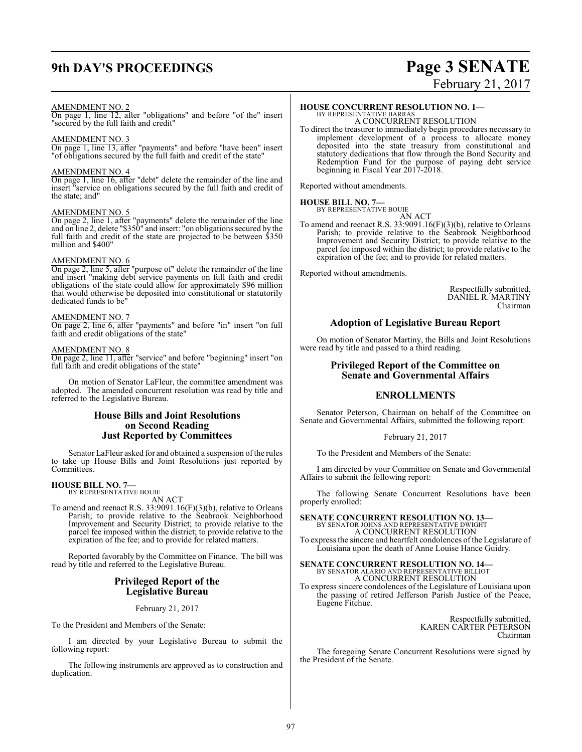# **9th DAY'S PROCEEDINGS Page 3 SENATE**

# February 21, 2017

#### AMENDMENT NO. 2

On page 1, line 12, after "obligations" and before "of the" insert "secured by the full faith and credit"

#### AMENDMENT NO. 3

On page 1, line 13, after "payments" and before "have been" insert "of obligations secured by the full faith and credit of the state"

#### AMENDMENT NO. 4

On page 1, line 16, after "debt" delete the remainder of the line and insert "service on obligations secured by the full faith and credit of the state; and"

#### AMENDMENT NO. 5

On page 2, line 1, after "payments" delete the remainder of the line and on line 2, delete "\$350" and insert: "on obligations secured by the full faith and credit of the state are projected to be between \$350 million and \$400"

## AMENDMENT NO. 6

On page 2, line 5, after "purpose of" delete the remainder of the line and insert "making debt service payments on full faith and credit obligations of the state could allow for approximately \$96 million that would otherwise be deposited into constitutional or statutorily dedicated funds to be"

#### AMENDMENT NO. 7

On page 2, line 6, after "payments" and before "in" insert "on full faith and credit obligations of the state"

#### AMENDMENT NO. 8

On page 2, line 11, after "service" and before "beginning" insert "on full faith and credit obligations of the state"

On motion of Senator LaFleur, the committee amendment was adopted. The amended concurrent resolution was read by title and referred to the Legislative Bureau.

# **House Bills and Joint Resolutions on Second Reading Just Reported by Committees**

Senator LaFleur asked for and obtained a suspension of the rules to take up House Bills and Joint Resolutions just reported by Committees.

# **HOUSE BILL NO. 7—**

BY REPRESENTATIVE BOUIE AN ACT

To amend and reenact R.S. 33:9091.16(F)(3)(b), relative to Orleans Parish; to provide relative to the Seabrook Neighborhood Improvement and Security District; to provide relative to the parcel fee imposed within the district; to provide relative to the expiration of the fee; and to provide for related matters.

Reported favorably by the Committee on Finance. The bill was read by title and referred to the Legislative Bureau.

## **Privileged Report of the Legislative Bureau**

February 21, 2017

To the President and Members of the Senate:

I am directed by your Legislative Bureau to submit the following report:

The following instruments are approved as to construction and duplication.

# **HOUSE CONCURRENT RESOLUTION NO. 1—**

BY REPRESENTATIVE BARRAS A CONCURRENT RESOLUTION

To direct the treasurer to immediately begin procedures necessary to implement development of a process to allocate money deposited into the state treasury from constitutional and statutory dedications that flow through the Bond Security and Redemption Fund for the purpose of paying debt service beginning in Fiscal Year 2017-2018.

Reported without amendments.

#### **HOUSE BILL NO. 7—** BY REPRESENTATIVE BOUIE

AN ACT

To amend and reenact R.S. 33:9091.16(F)(3)(b), relative to Orleans Parish; to provide relative to the Seabrook Neighborhood Improvement and Security District; to provide relative to the parcel fee imposed within the district; to provide relative to the expiration of the fee; and to provide for related matters.

Reported without amendments.

Respectfully submitted, DANIEL R. MARTINY Chairman

## **Adoption of Legislative Bureau Report**

On motion of Senator Martiny, the Bills and Joint Resolutions were read by title and passed to a third reading.

# **Privileged Report of the Committee on Senate and Governmental Affairs**

## **ENROLLMENTS**

Senator Peterson, Chairman on behalf of the Committee on Senate and Governmental Affairs, submitted the following report:

#### February 21, 2017

To the President and Members of the Senate:

I am directed by your Committee on Senate and Governmental Affairs to submit the following report:

The following Senate Concurrent Resolutions have been properly enrolled:

**SENATE CONCURRENT RESOLUTION NO. 13—**<br>BY SENATOR JOHNS AND REPRESENTATIVE DWIGHT<br>A CONCURRENT RESOLUTION

To express the sincere and heartfelt condolences ofthe Legislature of Louisiana upon the death of Anne Louise Hance Guidry.

**SENATE CONCURRENT RESOLUTION NO. 14—** BY SENATOR ALARIO AND REPRESENTATIVE BILLIOT A CONCURRENT RESOLUTION To express sincere condolences of the Legislature of Louisiana upon

the passing of retired Jefferson Parish Justice of the Peace, Eugene Fitchue.

> Respectfully submitted, KAREN CARTER PETERSON Chairman

The foregoing Senate Concurrent Resolutions were signed by the President of the Senate.